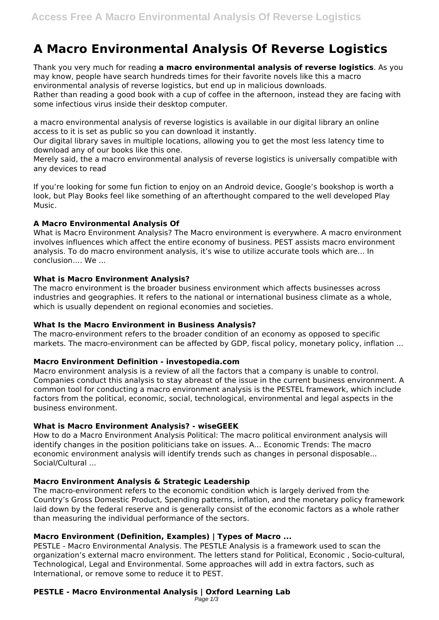# **A Macro Environmental Analysis Of Reverse Logistics**

Thank you very much for reading **a macro environmental analysis of reverse logistics**. As you may know, people have search hundreds times for their favorite novels like this a macro environmental analysis of reverse logistics, but end up in malicious downloads. Rather than reading a good book with a cup of coffee in the afternoon, instead they are facing with some infectious virus inside their desktop computer.

a macro environmental analysis of reverse logistics is available in our digital library an online access to it is set as public so you can download it instantly.

Our digital library saves in multiple locations, allowing you to get the most less latency time to download any of our books like this one.

Merely said, the a macro environmental analysis of reverse logistics is universally compatible with any devices to read

If you're looking for some fun fiction to enjoy on an Android device, Google's bookshop is worth a look, but Play Books feel like something of an afterthought compared to the well developed Play Music.

# **A Macro Environmental Analysis Of**

What is Macro Environment Analysis? The Macro environment is everywhere. A macro environment involves influences which affect the entire economy of business. PEST assists macro environment analysis. To do macro environment analysis, it's wise to utilize accurate tools which are... In conclusion…. We ...

## **What is Macro Environment Analysis?**

The macro environment is the broader business environment which affects businesses across industries and geographies. It refers to the national or international business climate as a whole, which is usually dependent on regional economies and societies.

#### **What Is the Macro Environment in Business Analysis?**

The macro-environment refers to the broader condition of an economy as opposed to specific markets. The macro-environment can be affected by GDP, fiscal policy, monetary policy, inflation ...

# **Macro Environment Definition - investopedia.com**

Macro environment analysis is a review of all the factors that a company is unable to control. Companies conduct this analysis to stay abreast of the issue in the current business environment. A common tool for conducting a macro environment analysis is the PESTEL framework, which include factors from the political, economic, social, technological, environmental and legal aspects in the business environment.

# **What is Macro Environment Analysis? - wiseGEEK**

How to do a Macro Environment Analysis Political: The macro political environment analysis will identify changes in the position politicians take on issues. A... Economic Trends: The macro economic environment analysis will identify trends such as changes in personal disposable... Social/Cultural ...

# **Macro Environment Analysis & Strategic Leadership**

The macro-environment refers to the economic condition which is largely derived from the Country's Gross Domestic Product, Spending patterns, inflation, and the monetary policy framework laid down by the federal reserve and is generally consist of the economic factors as a whole rather than measuring the individual performance of the sectors.

# **Macro Environment (Definition, Examples) | Types of Macro ...**

PESTLE - Macro Environmental Analysis. The PESTLE Analysis is a framework used to scan the organization's external macro environment. The letters stand for Political, Economic , Socio-cultural, Technological, Legal and Environmental. Some approaches will add in extra factors, such as International, or remove some to reduce it to PEST.

# **PESTLE - Macro Environmental Analysis | Oxford Learning Lab**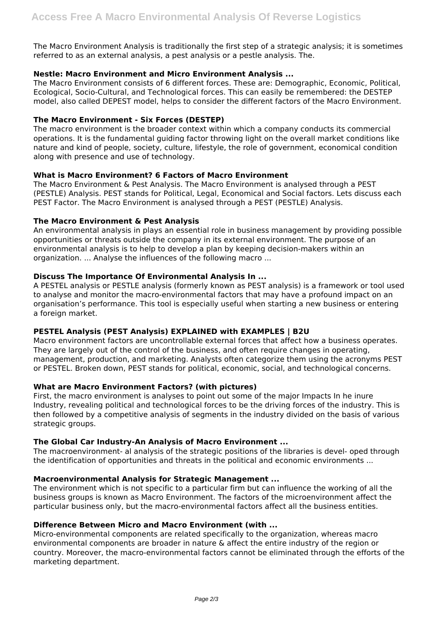The Macro Environment Analysis is traditionally the first step of a strategic analysis; it is sometimes referred to as an external analysis, a pest analysis or a pestle analysis. The.

## **Nestle: Macro Environment and Micro Environment Analysis ...**

The Macro Environment consists of 6 different forces. These are: Demographic, Economic, Political, Ecological, Socio-Cultural, and Technological forces. This can easily be remembered: the DESTEP model, also called DEPEST model, helps to consider the different factors of the Macro Environment.

## **The Macro Environment - Six Forces (DESTEP)**

The macro environment is the broader context within which a company conducts its commercial operations. It is the fundamental guiding factor throwing light on the overall market conditions like nature and kind of people, society, culture, lifestyle, the role of government, economical condition along with presence and use of technology.

## **What is Macro Environment? 6 Factors of Macro Environment**

The Macro Environment & Pest Analysis. The Macro Environment is analysed through a PEST (PESTLE) Analysis. PEST stands for Political, Legal, Economical and Social factors. Lets discuss each PEST Factor. The Macro Environment is analysed through a PEST (PESTLE) Analysis.

## **The Macro Environment & Pest Analysis**

An environmental analysis in plays an essential role in business management by providing possible opportunities or threats outside the company in its external environment. The purpose of an environmental analysis is to help to develop a plan by keeping decision-makers within an organization. ... Analyse the influences of the following macro ...

## **Discuss The Importance Of Environmental Analysis In ...**

A PESTEL analysis or PESTLE analysis (formerly known as PEST analysis) is a framework or tool used to analyse and monitor the macro-environmental factors that may have a profound impact on an organisation's performance. This tool is especially useful when starting a new business or entering a foreign market.

# **PESTEL Analysis (PEST Analysis) EXPLAINED with EXAMPLES | B2U**

Macro environment factors are uncontrollable external forces that affect how a business operates. They are largely out of the control of the business, and often require changes in operating, management, production, and marketing. Analysts often categorize them using the acronyms PEST or PESTEL. Broken down, PEST stands for political, economic, social, and technological concerns.

#### **What are Macro Environment Factors? (with pictures)**

First, the macro environment is analyses to point out some of the major Impacts In he inure Industry, revealing political and technological forces to be the driving forces of the industry. This is then followed by a competitive analysis of segments in the industry divided on the basis of various strategic groups.

#### **The Global Car Industry-An Analysis of Macro Environment ...**

The macroenvironment- al analysis of the strategic positions of the libraries is devel- oped through the identification of opportunities and threats in the political and economic environments ...

#### **Macroenvironmental Analysis for Strategic Management ...**

The environment which is not specific to a particular firm but can influence the working of all the business groups is known as Macro Environment. The factors of the microenvironment affect the particular business only, but the macro-environmental factors affect all the business entities.

#### **Difference Between Micro and Macro Environment (with ...**

Micro-environmental components are related specifically to the organization, whereas macro environmental components are broader in nature & affect the entire industry of the region or country. Moreover, the macro-environmental factors cannot be eliminated through the efforts of the marketing department.